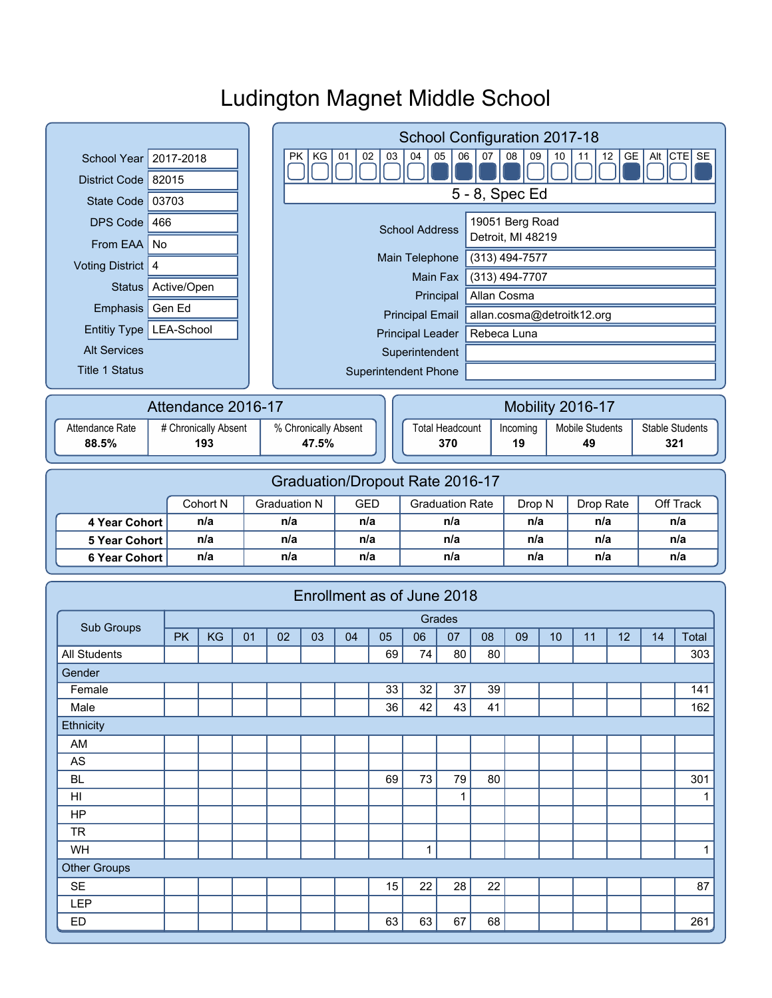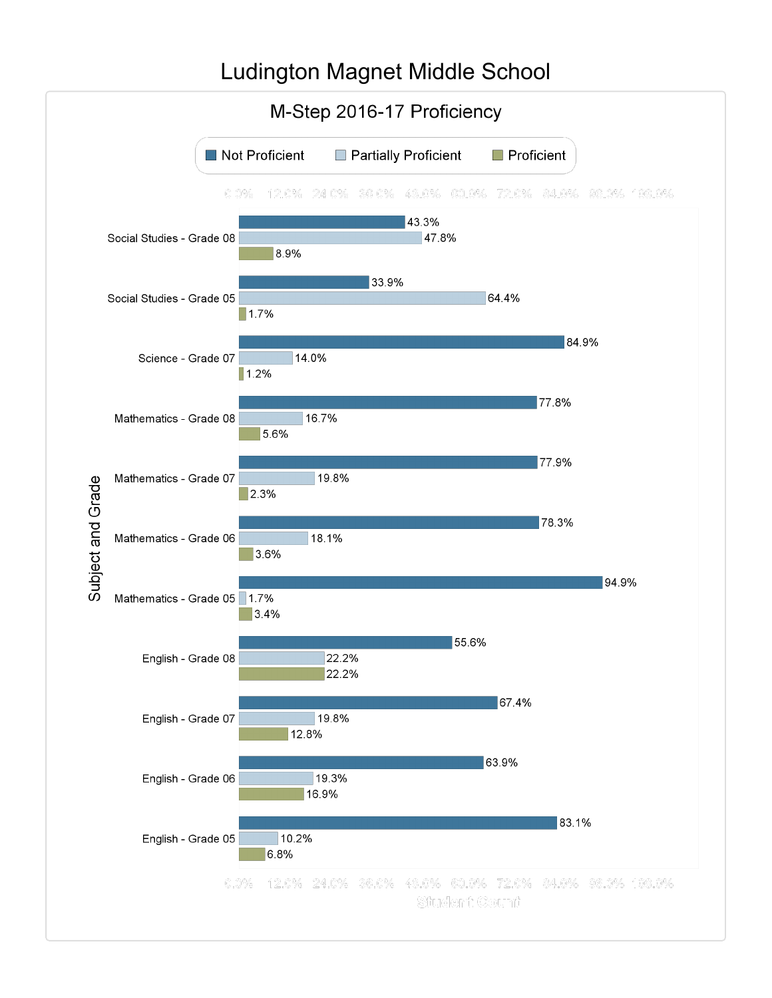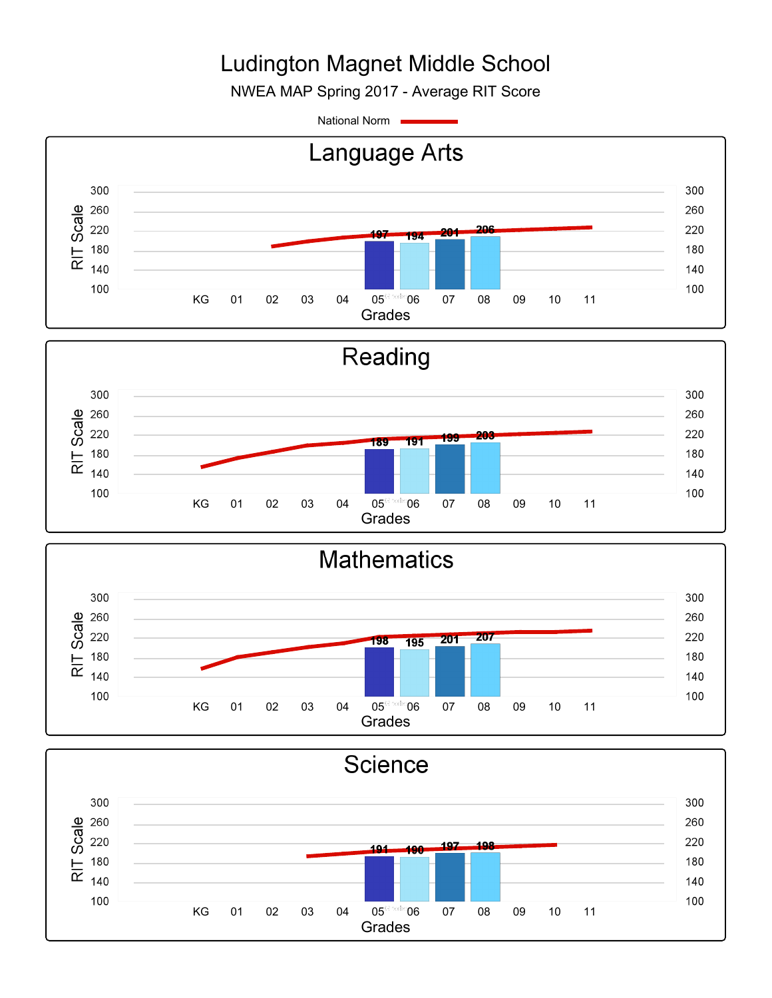NWEA MAP Spring 2017 - Average RIT Score

National Norm